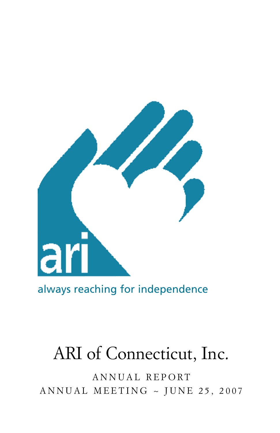

always reaching for independence

# ARI of Connecticut, Inc.

A N N U A L R E P O R T ANNUAL MEETING  $\sim$  JUNE 25, 2007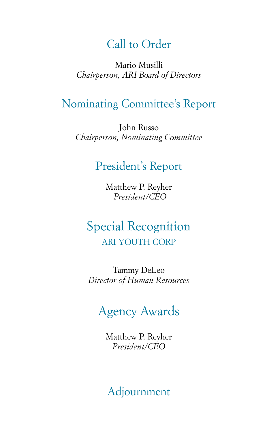## Call to Order

Mario Musilli *Chairperson, ARI Board of Directors*

### Nominating Committee's Report

John Russo *Chairperson, Nominating Committee*

### President's Report

Matthew P. Reyher *President/CEO*

## Special Recognition ARI YOUTH CORP

Tammy DeLeo *Director of Human Resources*

## Agency Awards

Matthew P. Reyher *President/CEO*

Adjournment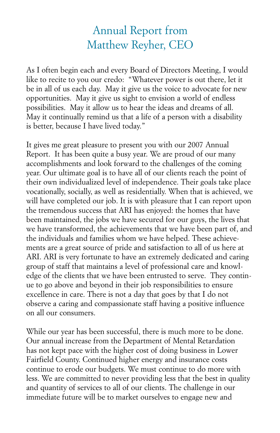## Annual Report from Matthew Reyher, CEO

As I often begin each and every Board of Directors Meeting, I would like to recite to you our credo: "Whatever power is out there, let it be in all of us each day. May it give us the voice to advocate for new opportunities. May it give us sight to envision a world of endless possibilities. May it allow us to hear the ideas and dreams of all. May it continually remind us that a life of a person with a disability is better, because I have lived today."

It gives me great pleasure to present you with our 2007 Annual Report. It has been quite a busy year. We are proud of our many accomplishments and look forward to the challenges of the coming year. Our ultimate goal is to have all of our clients reach the point of their own individualized level of independence. Their goals take place vocationally, socially, as well as residentially. When that is achieved, we will have completed our job. It is with pleasure that I can report upon the tremendous success that ARI has enjoyed: the homes that have been maintained, the jobs we have secured for our guys, the lives that we have transformed, the achievements that we have been part of, and the individuals and families whom we have helped. These achievements are a great source of pride and satisfaction to all of us here at ARI. ARI is very fortunate to have an extremely dedicated and caring group of staff that maintains a level of professional care and knowledge of the clients that we have been entrusted to serve. They continue to go above and beyond in their job responsibilities to ensure excellence in care. There is not a day that goes by that I do not observe a caring and compassionate staff having a positive influence on all our consumers.

While our year has been successful, there is much more to be done. Our annual increase from the Department of Mental Retardation has not kept pace with the higher cost of doing business in Lower Fairfield County. Continued higher energy and insurance costs continue to erode our budgets. We must continue to do more with less. We are committed to never providing less that the best in quality and quantity of services to all of our clients. The challenge in our immediate future will be to market ourselves to engage new and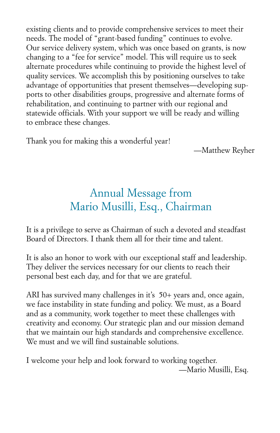existing clients and to provide comprehensive services to meet their needs. The model of "grant-based funding" continues to evolve. Our service delivery system, which was once based on grants, is now changing to a "fee for service" model. This will require us to seek alternate procedures while continuing to provide the highest level of quality services. We accomplish this by positioning ourselves to take advantage of opportunities that present themselves—developing supports to other disabilities groups, progressive and alternate forms of rehabilitation, and continuing to partner with our regional and statewide officials. With your support we will be ready and willing to embrace these changes.

Thank you for making this a wonderful year!

—Matthew Reyher

## Annual Message from Mario Musilli, Esq., Chairman

It is a privilege to serve as Chairman of such a devoted and steadfast Board of Directors. I thank them all for their time and talent.

It is also an honor to work with our exceptional staff and leadership. They deliver the services necessary for our clients to reach their personal best each day, and for that we are grateful.

ARI has survived many challenges in it's 50+ years and, once again, we face instability in state funding and policy. We must, as a Board and as a community, work together to meet these challenges with creativity and economy. Our strategic plan and our mission demand that we maintain our high standards and comprehensive excellence. We must and we will find sustainable solutions.

I welcome your help and look forward to working together. —Mario Musilli, Esq.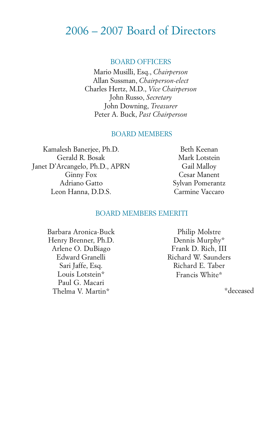### 2006 – 2007 Board of Directors

#### BOARD OFFICERS

Mario Musilli, Esq., *Chairperson* Allan Sussman, *Chairperson-elect* Charles Hertz, M.D., *Vice Chairperson* John Russo, *Secretary* John Downing, *Treasurer* Peter A. Buck, *Past Chairperson*

#### BOARD MEMBERS

Kamalesh Banerjee, Ph.D. Gerald R. Bosak Janet D'Arcangelo, Ph.D., APRN Ginny Fox Adriano Gatto Leon Hanna, D.D.S.

Beth Keenan Mark Lotstein Gail Malloy Cesar Manent Sylvan Pomerantz Carmine Vaccaro

#### BOARD MEMBERS EMERITI

Barbara Aronica-Buck Henry Brenner, Ph.D. Arlene O. DuBiago Edward Granelli Sari Jaffe, Esq. Louis Lotstein\* Paul G. Macari Thelma V. Martin\*

Philip Molstre Dennis Murphy\* Frank D. Rich, III Richard W. Saunders Richard E. Taber Francis White\*

\*deceased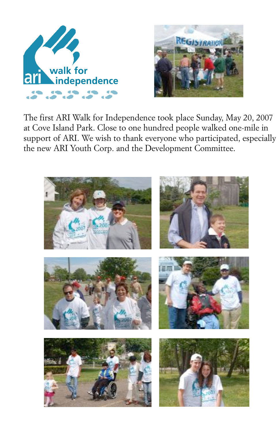



The first ARI Walk for Independence took place Sunday, May 20, 2007 at Cove Island Park. Close to one hundred people walked one-mile in support of ARI. We wish to thank everyone who participated, especially the new ARI Youth Corp. and the Development Committee.

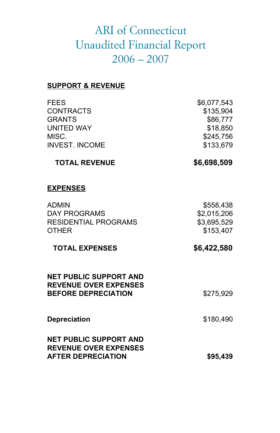### ARI of Connecticut Ur**ARI QE CONNECTICUT**Ort UNAUDITE<u>D FINANGIA</u>L REPORT **2006-2007**

#### **SUPPORT & REVENUE**

| <b>FEES</b>           | \$6,077,543 |
|-----------------------|-------------|
| <b>CONTRACTS</b>      | \$135,904   |
| <b>GRANTS</b>         | \$86,777    |
|                       |             |
| UNITED WAY            | \$18,850    |
| MISC.                 | \$245.756   |
| <b>INVEST. INCOME</b> | \$133,679   |
|                       |             |

#### **TOTAL REVENUE \$6,698,509**

**REVENUE OVER EXPENSES AFTER DEPRECIATION**

**\$95,439**

#### **EXPENSES**

| ADMIN<br>DAY PROGRAMS<br>RESIDENTIAL PROGRAMS<br>OTHER                                      | \$558,438<br>\$2,015,206<br>\$3,695,529<br>\$153,407 |
|---------------------------------------------------------------------------------------------|------------------------------------------------------|
| <b>TOTAL EXPENSES</b>                                                                       | \$6,422,580                                          |
| <b>NET PUBLIC SUPPORT AND</b><br><b>REVENUE OVER EXPENSES</b><br><b>BEFORE DEPRECIATION</b> | \$275,929                                            |
| <b>Depreciation</b>                                                                         | \$180,490                                            |
| <b>NET PUBLIC SUPPORT AND</b>                                                               |                                                      |